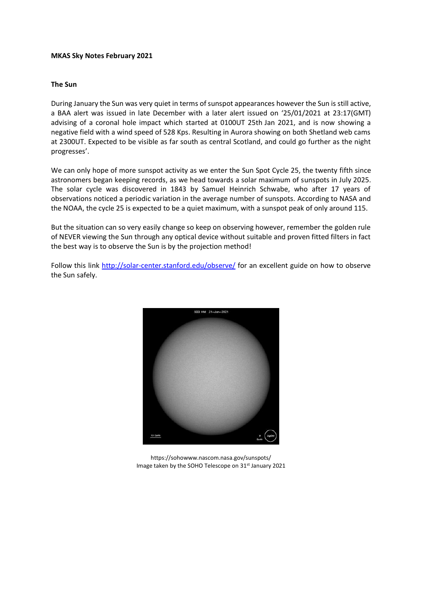### **MKAS Sky Notes February 2021**

### **The Sun**

During January the Sun was very quiet in terms of sunspot appearances however the Sun is still active, a BAA alert was issued in late December with a later alert issued on '25/01/2021 at 23:17(GMT) advising of a coronal hole impact which started at 0100UT 25th Jan 2021, and is now showing a negative field with a wind speed of 528 Kps. Resulting in Aurora showing on both Shetland web cams at 2300UT. Expected to be visible as far south as central Scotland, and could go further as the night progresses'.

We can only hope of more sunspot activity as we enter the Sun Spot Cycle 25, the twenty fifth since astronomers began keeping records, as we head towards a solar maximum of sunspots in July 2025. The solar cycle was discovered in 1843 by Samuel Heinrich Schwabe, who after 17 years of observations noticed a periodic variation in the average number of sunspots. According to NASA and the NOAA, the cycle 25 is expected to be a quiet maximum, with a sunspot peak of only around 115.

But the situation can so very easily change so keep on observing however, remember the golden rule of NEVER viewing the Sun through any optical device without suitable and proven fitted filters in fact the best way is to observe the Sun is by the projection method!

Follow this link<http://solar-center.stanford.edu/observe/> for an excellent guide on how to observe the Sun safely.



https://sohowww.nascom.nasa.gov/sunspots/ Image taken by the SOHO Telescope on 31<sup>st</sup> January 2021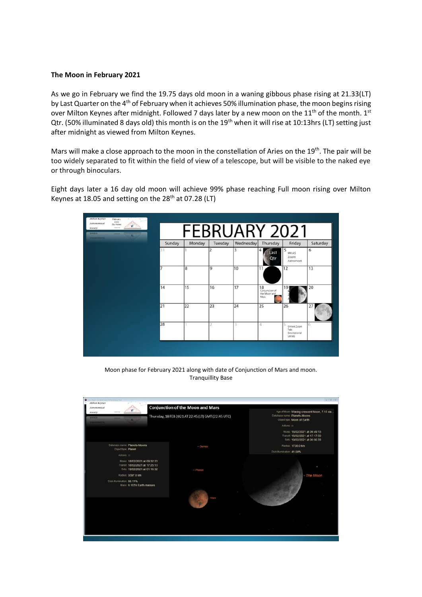# **The Moon in February 2021**

As we go in February we find the 19.75 days old moon in a waning gibbous phase rising at 21.33(LT) by Last Quarter on the 4<sup>th</sup> of February when it achieves 50% illumination phase, the moon begins rising over Milton Keynes after midnight. Followed 7 days later by a new moon on the  $11<sup>th</sup>$  of the month.  $1<sup>st</sup>$ Qtr. (50% illuminated 8 days old) this month is on the 19<sup>th</sup> when it will rise at 10:13hrs (LT) setting just after midnight as viewed from Milton Keynes.

Mars will make a close approach to the moon in the constellation of Aries on the 19<sup>th</sup>. The pair will be too widely separated to fit within the field of view of a telescope, but will be visible to the naked eye or through binoculars.

Eight days later a 16 day old moon will achieve 99% phase reaching Full moon rising over Milton Keynes at 18.05 and setting on the 28<sup>th</sup> at 07.28 (LT)



Moon phase for February 2021 along with date of Conjunction of Mars and moon. Tranquillity Base

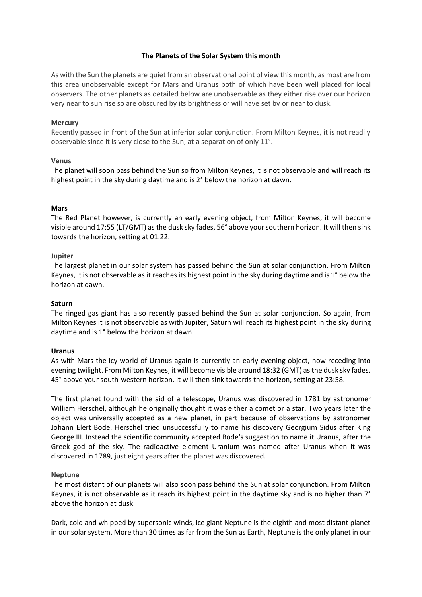# **The Planets of the Solar System this month**

As with the Sun the planets are quiet from an observational point of view this month, as most are from this area unobservable except for Mars and Uranus both of which have been well placed for local observers. The other planets as detailed below are unobservable as they either rise over our horizon very near to sun rise so are obscured by its brightness or will have set by or near to dusk.

### **Mercury**

Recently passed in front of the Sun at inferior solar conjunction. From Milton Keynes, it is not readily observable since it is very close to the Sun, at a separation of only 11°.

### **Venus**

The planet will soon pass behind the Sun so from Milton Keynes, it is not observable and will reach its highest point in the sky during daytime and is 2° below the horizon at dawn.

#### **Mars**

The Red Planet however, is currently an early evening object, from Milton Keynes, it will become visible around 17:55 (LT/GMT) as the dusk sky fades, 56° above your southern horizon. It will then sink towards the horizon, setting at 01:22.

#### **Jupiter**

The largest planet in our solar system has passed behind the Sun at solar conjunction. From Milton Keynes, it is not observable as it reaches its highest point in the sky during daytime and is 1° below the horizon at dawn.

#### **Saturn**

The ringed gas giant has also recently passed behind the Sun at solar conjunction. So again, from Milton Keynes it is not observable as with Jupiter, Saturn will reach its highest point in the sky during daytime and is 1° below the horizon at dawn.

#### **Uranus**

As with Mars the icy world of Uranus again is currently an early evening object, now receding into evening twilight. From Milton Keynes, it will become visible around 18:32 (GMT) as the dusk sky fades, 45° above your south-western horizon. It will then sink towards the horizon, setting at 23:58.

The first planet found with the aid of a telescope, Uranus was discovered in 1781 by astronomer William Herschel, although he originally thought it was either a comet or a star. Two years later the object was universally accepted as a new planet, in part because of observations by astronomer Johann Elert Bode. Herschel tried unsuccessfully to name his discovery Georgium Sidus after King George III. Instead the scientific community accepted Bode's suggestion to name it Uranus, after the Greek god of the sky. The radioactive element Uranium was named after Uranus when it was discovered in 1789, just eight years after the planet was discovered.

#### **Neptune**

The most distant of our planets will also soon pass behind the Sun at solar conjunction. From Milton Keynes, it is not observable as it reach its highest point in the daytime sky and is no higher than 7° above the horizon at dusk.

Dark, cold and whipped by supersonic winds, ice giant Neptune is the eighth and most distant planet in our solar system. More than 30 times as far from the Sun as Earth, Neptune is the only planet in our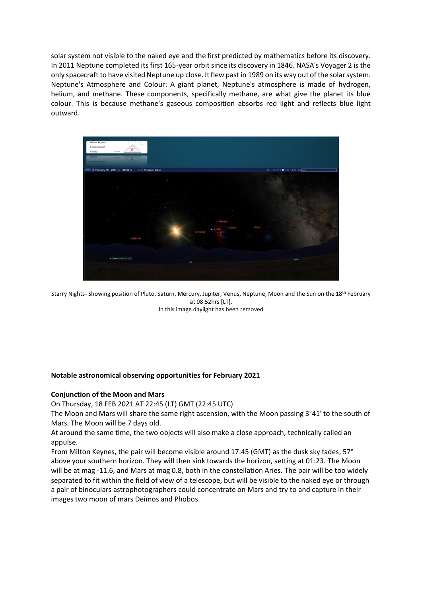solar system not visible to the naked eye and the first predicted by mathematics before its discovery. In 2011 Neptune completed its first 165-year orbit since its discovery in 1846. NASA's Voyager 2 is the only spacecraft to have visited Neptune up close. It flew past in 1989 on its way out of the solar system. Neptune's Atmosphere and Colour: A giant planet, Neptune's atmosphere is made of hydrogen, helium, and methane. These components, specifically methane, are what give the planet its blue colour. This is because methane's gaseous composition absorbs red light and reflects blue light outward.



Starry Nights- Showing position of Pluto, Saturn, Mercury, Jupiter, Venus, Neptune, Moon and the Sun on the 18<sup>th</sup> February at 08:52hrs [LT]. In this image daylight has been removed

# **Notable astronomical observing opportunities for February 2021**

### **Conjunction of the Moon and Mars**

On Thursday, 18 FEB 2021 AT 22:45 (LT) GMT (22:45 UTC)

The Moon and Mars will share the same right ascension, with the Moon passing 3°41' to the south of Mars. The Moon will be 7 days old.

At around the same time, the two objects will also make a close approach, technically called an appulse.

From Milton Keynes, the pair will become visible around 17:45 (GMT) as the dusk sky fades, 57° above your southern horizon. They will then sink towards the horizon, setting at 01:23. The Moon will be at mag -11.6, and Mars at mag 0.8, both in the constellation Aries. The pair will be too widely separated to fit within the field of view of a telescope, but will be visible to the naked eye or through a pair of binoculars astrophotographers could concentrate on Mars and try to and capture in their images two moon of mars Deimos and Phobos.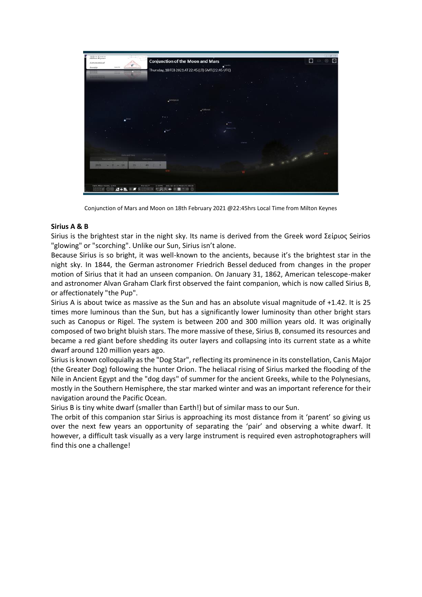

Conjunction of Mars and Moon on 18th February 2021 @22:45hrs Local Time from Milton Keynes

# **Sirius A & B**

Sirius is the brightest star in the night sky. Its name is derived from the Greek word Σείριος Seirios "glowing" or "scorching". Unlike our Sun, Sirius isn't alone.

Because Sirius is so bright, it was well-known to the ancients, because it's the brightest star in the night sky. In 1844, the German astronomer Friedrich Bessel deduced from changes in the proper motion of Sirius that it had an unseen companion. On January 31, 1862, American telescope-maker and astronomer Alvan Graham Clark first observed the faint companion, which is now called Sirius B, or affectionately "the Pup".

Sirius A is about twice as massive as the Sun and has an absolute visual magnitude of +1.42. It is 25 times more luminous than the Sun, but has a significantly lower luminosity than other bright stars such as Canopus or Rigel. The system is between 200 and 300 million years old. It was originally composed of two bright bluish stars. The more massive of these, Sirius B, consumed its resources and became a red giant before shedding its outer layers and collapsing into its current state as a white dwarf around 120 million years ago.

Sirius is known colloquially as the "Dog Star", reflecting its prominence in its constellation, Canis Major (the Greater Dog) following the hunter Orion. The heliacal rising of Sirius marked the flooding of the Nile in Ancient Egypt and the "dog days" of summer for the ancient Greeks, while to the Polynesians, mostly in the Southern Hemisphere, the star marked winter and was an important reference for their navigation around the Pacific Ocean.

Sirius B is tiny white dwarf (smaller than Earth!) but of similar mass to our Sun.

The orbit of this companion star Sirius is approaching its most distance from it 'parent' so giving us over the next few years an opportunity of separating the 'pair' and observing a white dwarf. It however, a difficult task visually as a very large instrument is required even astrophotographers will find this one a challenge!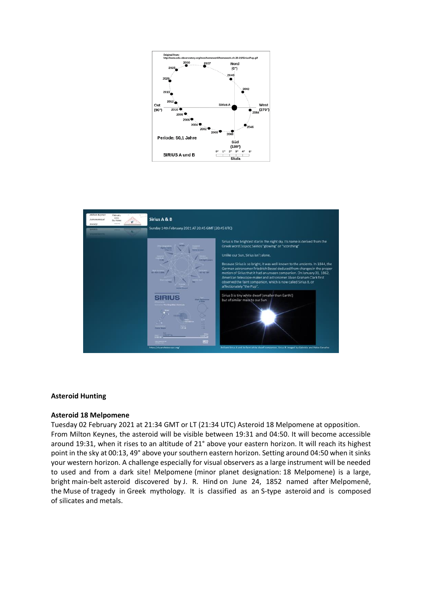



### **Asteroid Hunting**

#### **Asteroid 18 Melpomene**

Tuesday 02 February 2021 at 21:34 GMT or LT (21:34 UTC) Asteroid 18 Melpomene at opposition. From Milton Keynes, the asteroid will be visible between 19:31 and 04:50. It will become accessible around 19:31, when it rises to an altitude of 21° above your eastern horizon. It will reach its highest point in the sky at 00:13, 49° above your southern eastern horizon. Setting around 04:50 when it sinks your western horizon. A challenge especially for visual observers as a large instrument will be needed to used and from a dark site! Melpomene (minor planet designation: 18 Melpomene) is a large, bright main-belt asteroid discovered by J. R. Hind on June 24, 1852 named after Melpomenē, the Muse of tragedy in Greek mythology. It is classified as an S-type asteroid and is composed of silicates and metals.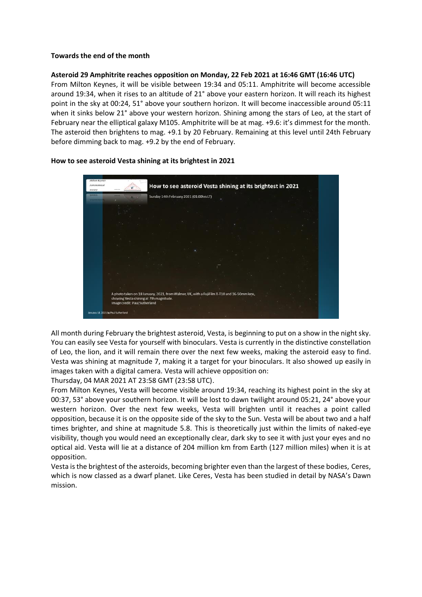# **Towards the end of the month**

### **Asteroid 29 Amphitrite reaches opposition on Monday, 22 Feb 2021 at 16:46 GMT (16:46 UTC)**

From Milton Keynes, it will be visible between 19:34 and 05:11. Amphitrite will become accessible around 19:34, when it rises to an altitude of 21° above your eastern horizon. It will reach its highest point in the sky at 00:24, 51° above your southern horizon. It will become inaccessible around 05:11 when it sinks below 21° above your western horizon. Shining among the stars of Leo, at the start of February near the elliptical galaxy M105. Amphitrite will be at mag. +9.6: it's dimmest for the month. The asteroid then brightens to mag. +9.1 by 20 February. Remaining at this level until 24th February before dimming back to mag. +9.2 by the end of February.



### **How to see asteroid Vesta shining at its brightest in 2021**

All month during February the brightest asteroid, Vesta, is beginning to put on a show in the night sky. You can easily see Vesta for yourself with binoculars. Vesta is currently in the distinctive constellation of Leo, the lion, and it will remain there over the next few weeks, making the asteroid easy to find. Vesta was shining at magnitude 7, making it a target for your binoculars. It also showed up easily in images taken with a digital camera. Vesta will achieve opposition on:

Thursday, 04 MAR 2021 AT 23:58 GMT (23:58 UTC).

From Milton Keynes, Vesta will become visible around 19:34, reaching its highest point in the sky at 00:37, 53° above your southern horizon. It will be lost to dawn twilight around 05:21, 24° above your western horizon. Over the next few weeks, Vesta will brighten until it reaches a point called opposition, because it is on the opposite side of the sky to the Sun. Vesta will be about two and a half times brighter, and shine at magnitude 5.8. This is theoretically just within the limits of naked-eye visibility, though you would need an exceptionally clear, dark sky to see it with just your eyes and no optical aid. Vesta will lie at a distance of 204 million km from Earth (127 million miles) when it is at opposition.

Vesta is the brightest of the asteroids, becoming brighter even than the largest of these bodies, Ceres, which is now classed as a dwarf planet. Like Ceres, Vesta has been studied in detail by NASA's Dawn mission.